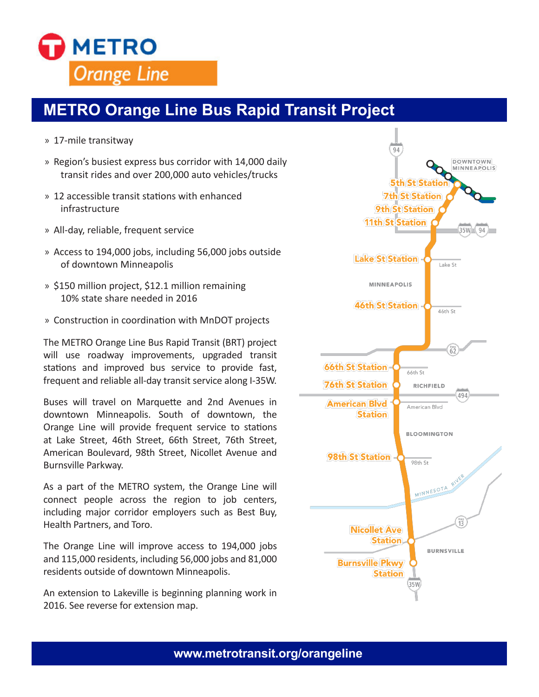

## **METRO Orange Line Bus Rapid Transit Project**

- » 17-mile transitway
- » Region's busiest express bus corridor with 14,000 daily transit rides and over 200,000 auto vehicles/trucks
- » 12 accessible transit stations with enhanced infrastructure
- » All-day, reliable, frequent service
- » Access to 194,000 jobs, including 56,000 jobs outside of downtown Minneapolis
- » \$150 million project, \$12.1 million remaining 10% state share needed in 2016
- » Construction in coordination with MnDOT projects

The METRO Orange Line Bus Rapid Transit (BRT) project will use roadway improvements, upgraded transit stations and improved bus service to provide fast, frequent and reliable all-day transit service along I-35W.

Buses will travel on Marquette and 2nd Avenues in downtown Minneapolis. South of downtown, the Orange Line will provide frequent service to stations at Lake Street, 46th Street, 66th Street, 76th Street, American Boulevard, 98th Street, Nicollet Avenue and Burnsville Parkway.

As a part of the METRO system, the Orange Line will connect people across the region to job centers, including major corridor employers such as Best Buy, Health Partners, and Toro.

The Orange Line will improve access to 194,000 jobs and 115,000 residents, including 56,000 jobs and 81,000 residents outside of downtown Minneapolis.

An extension to Lakeville is beginning planning work in 2016. See reverse for extension map.